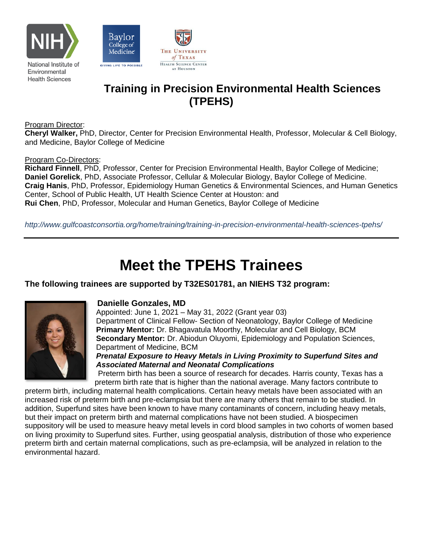



# **Training in Precision Environmental Health Sciences (TPEHS)**

Program Director:

**Cheryl Walker,** PhD, Director, Center for Precision Environmental Health, Professor, Molecular & Cell Biology, and Medicine, Baylor College of Medicine

AT HOUSTON

#### Program Co-Directors:

**Richard Finnell**, PhD, Professor, Center for Precision Environmental Health, Baylor College of Medicine; **Daniel Gorelick**, PhD, Associate Professor, Cellular & Molecular Biology, Baylor College of Medicine. **Craig Hanis**, PhD, Professor, Epidemiology Human Genetics & Environmental Sciences, and Human Genetics Center, School of Public Health, UT Health Science Center at Houston: and **Rui Chen**, PhD, Professor, Molecular and Human Genetics, Baylor College of Medicine

*http://www.gulfcoastconsortia.org/home/training/training-in-precision-environmental-health-sciences-tpehs/*

# **Meet the TPEHS Trainees**

#### **The following trainees are supported by T32ES01781, an NIEHS T32 program:**



#### **Danielle Gonzales, MD**

Appointed: June 1, 2021 – May 31, 2022 (Grant year 03) Department of Clinical Fellow- Section of Neonatology, Baylor College of Medicine **Primary Mentor:** Dr. Bhagavatula Moorthy, Molecular and Cell Biology, BCM **Secondary Mentor:** Dr. Abiodun Oluyomi, Epidemiology and Population Sciences, Department of Medicine, BCM

*Prenatal Exposure to Heavy Metals in Living Proximity to Superfund Sites and Associated Maternal and Neonatal Complications*

Preterm birth has been a source of research for decades. Harris county, Texas has a preterm birth rate that is higher than the national average. Many factors contribute to

preterm birth, including maternal health complications. Certain heavy metals have been associated with an increased risk of preterm birth and pre-eclampsia but there are many others that remain to be studied. In addition, Superfund sites have been known to have many contaminants of concern, including heavy metals, but their impact on preterm birth and maternal complications have not been studied. A biospecimen suppository will be used to measure heavy metal levels in cord blood samples in two cohorts of women based on living proximity to Superfund sites. Further, using geospatial analysis, distribution of those who experience preterm birth and certain maternal complications, such as pre-eclampsia, will be analyzed in relation to the environmental hazard.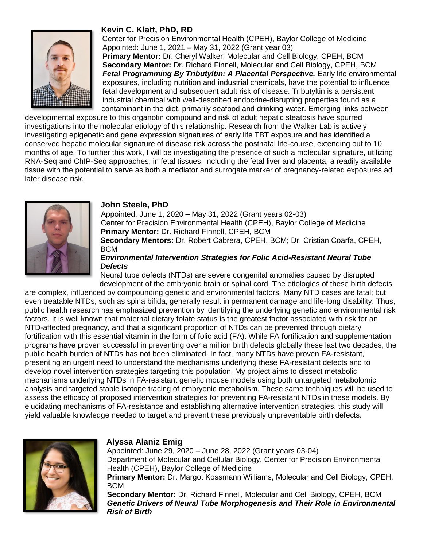

# **Kevin C. Klatt, PhD, RD**

Center for Precision Environmental Health (CPEH), Baylor College of Medicine Appointed: June 1, 2021 – May 31, 2022 (Grant year 03)

**Primary Mentor:** Dr. Cheryl Walker, Molecular and Cell Biology, CPEH, BCM **Secondary Mentor:** Dr. Richard Finnell, Molecular and Cell Biology, CPEH, BCM **Fetal Programming By Tributyltin: A Placental Perspective.** Early life environmental exposures, including nutrition and industrial chemicals, have the potential to influence fetal development and subsequent adult risk of disease. Tributyltin is a persistent industrial chemical with well-described endocrine-disrupting properties found as a contaminant in the diet, primarily seafood and drinking water. Emerging links between

developmental exposure to this organotin compound and risk of adult hepatic steatosis have spurred investigations into the molecular etiology of this relationship. Research from the Walker Lab is actively investigating epigenetic and gene expression signatures of early life TBT exposure and has identified a conserved hepatic molecular signature of disease risk across the postnatal life-course, extending out to 10 months of age. To further this work, I will be investigating the presence of such a molecular signature, utilizing RNA-Seq and ChIP-Seq approaches, in fetal tissues, including the fetal liver and placenta, a readily available tissue with the potential to serve as both a mediator and surrogate marker of pregnancy-related exposures ad later disease risk.



#### **John Steele, PhD**

Appointed: June 1, 2020 – May 31, 2022 (Grant years 02-03) Center for Precision Environmental Health (CPEH), Baylor College of Medicine **Primary Mentor:** Dr. Richard Finnell, CPEH, BCM **Secondary Mentors:** Dr. Robert Cabrera, CPEH, BCM; Dr. Cristian Coarfa, CPEH, **BCM** *Environmental Intervention Strategies for Folic Acid-Resistant Neural Tube* 

#### *Defects*  Neural tube defects (NTDs) are severe congenital anomalies caused by disrupted

development of the embryonic brain or spinal cord. The etiologies of these birth defects are complex, influenced by compounding genetic and environmental factors. Many NTD cases are fatal; but even treatable NTDs, such as spina bifida, generally result in permanent damage and life-long disability. Thus, public health research has emphasized prevention by identifying the underlying genetic and environmental risk factors. It is well known that maternal dietary folate status is the greatest factor associated with risk for an NTD-affected pregnancy, and that a significant proportion of NTDs can be prevented through dietary fortification with this essential vitamin in the form of folic acid (FA). While FA fortification and supplementation programs have proven successful in preventing over a million birth defects globally these last two decades, the public health burden of NTDs has not been eliminated. In fact, many NTDs have proven FA-resistant, presenting an urgent need to understand the mechanisms underlying these FA-resistant defects and to develop novel intervention strategies targeting this population. My project aims to dissect metabolic mechanisms underlying NTDs in FA-resistant genetic mouse models using both untargeted metabolomic analysis and targeted stable isotope tracing of embryonic metabolism. These same techniques will be used to assess the efficacy of proposed intervention strategies for preventing FA-resistant NTDs in these models. By elucidating mechanisms of FA-resistance and establishing alternative intervention strategies, this study will yield valuable knowledge needed to target and prevent these previously unpreventable birth defects.



# **Alyssa Alaniz Emig**

Appointed: June 29, 2020 – June 28, 2022 (Grant years 03-04) Department of Molecular and Cellular Biology, Center for Precision Environmental Health (CPEH), Baylor College of Medicine **Primary Mentor:** Dr. Margot Kossmann Williams, Molecular and Cell Biology, CPEH, BCM

**Secondary Mentor:** Dr. Richard Finnell, Molecular and Cell Biology, CPEH, BCM *Genetic Drivers of Neural Tube Morphogenesis and Their Role in Environmental Risk of Birth*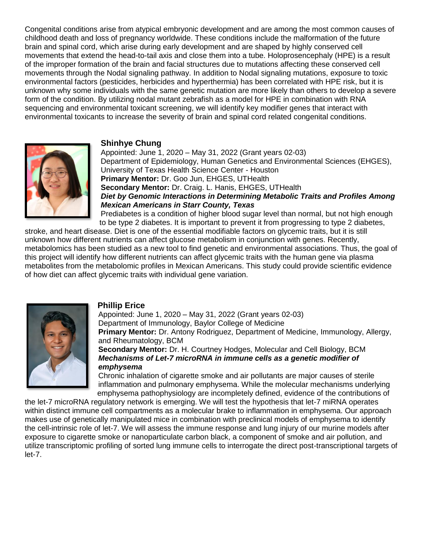Congenital conditions arise from atypical embryonic development and are among the most common causes of childhood death and loss of pregnancy worldwide. These conditions include the malformation of the future brain and spinal cord, which arise during early development and are shaped by highly conserved cell movements that extend the head-to-tail axis and close them into a tube. Holoprosencephaly (HPE) is a result of the improper formation of the brain and facial structures due to mutations affecting these conserved cell movements through the Nodal signaling pathway. In addition to Nodal signaling mutations, exposure to toxic environmental factors (pesticides, herbicides and hyperthermia) has been correlated with HPE risk, but it is unknown why some individuals with the same genetic mutation are more likely than others to develop a severe form of the condition. By utilizing nodal mutant zebrafish as a model for HPE in combination with RNA sequencing and environmental toxicant screening, we will identify key modifier genes that interact with environmental toxicants to increase the severity of brain and spinal cord related congenital conditions.



#### **Shinhye Chung**

Appointed: June 1, 2020 – May 31, 2022 (Grant years 02-03) Department of Epidemiology, Human Genetics and Environmental Sciences (EHGES), University of Texas Health Science Center - Houston **Primary Mentor:** Dr. Goo Jun, EHGES, UTHealth **Secondary Mentor:** Dr. Craig. L. Hanis, EHGES, UTHealth *Diet by Genomic Interactions in Determining Metabolic Traits and Profiles Among Mexican Americans in Starr County, Texas* Prediabetes is a condition of higher blood sugar level than normal, but not high enough

to be type 2 diabetes. It is important to prevent it from progressing to type 2 diabetes, stroke, and heart disease. Diet is one of the essential modifiable factors on glycemic traits, but it is still unknown how different nutrients can affect glucose metabolism in conjunction with genes. Recently, metabolomics has been studied as a new tool to find genetic and environmental associations. Thus, the goal of this project will identify how different nutrients can affect glycemic traits with the human gene via plasma metabolites from the metabolomic profiles in Mexican Americans. This study could provide scientific evidence of how diet can affect glycemic traits with individual gene variation.



#### **Phillip Erice**

Appointed: June 1, 2020 – May 31, 2022 (Grant years 02-03) Department of Immunology, Baylor College of Medicine **Primary Mentor:** Dr. Antony Rodriguez, Department of Medicine, Immunology, Allergy, and Rheumatology, BCM

#### **Secondary Mentor:** Dr. H. Courtney Hodges, Molecular and Cell Biology, BCM *Mechanisms of Let-7 microRNA in immune cells as a genetic modifier of emphysema*

Chronic inhalation of cigarette smoke and air pollutants are major causes of sterile inflammation and pulmonary emphysema. While the molecular mechanisms underlying emphysema pathophysiology are incompletely defined, evidence of the contributions of

the let-7 microRNA regulatory network is emerging. We will test the hypothesis that let-7 miRNA operates within distinct immune cell compartments as a molecular brake to inflammation in emphysema. Our approach makes use of genetically manipulated mice in combination with preclinical models of emphysema to identify the cell-intrinsic role of let-7. We will assess the immune response and lung injury of our murine models after exposure to cigarette smoke or nanoparticulate carbon black, a component of smoke and air pollution, and utilize transcriptomic profiling of sorted lung immune cells to interrogate the direct post-transcriptional targets of let-7.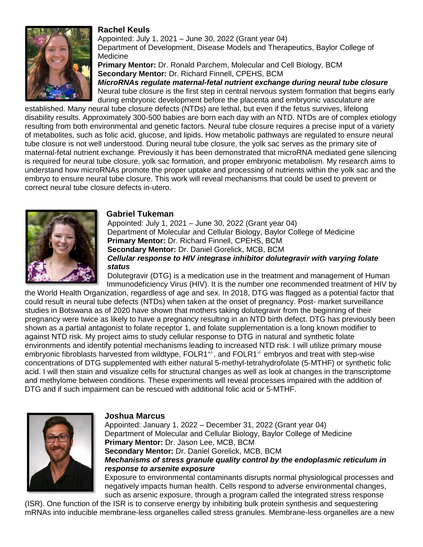# **Rachel Keuls**



Appointed: July 1, 2021 – June 30, 2022 (Grant year 04) Department of Development, Disease Models and Therapeutics, Baylor College of Medicine

**Primary Mentor:** Dr. Ronald Parchem, Molecular and Cell Biology, BCM **Secondary Mentor:** Dr. Richard Finnell, CPEHS, BCM *MicroRNAs regulate maternal-fetal nutrient exchange during neural tube closure* Neural tube closure is the first step in central nervous system formation that begins early during embryonic development before the placenta and embryonic vasculature are

established. Many neural tube closure defects (NTDs) are lethal, but even if the fetus survives, lifelong disability results. Approximately 300-500 babies are born each day with an NTD. NTDs are of complex etiology resulting from both environmental and genetic factors. Neural tube closure requires a precise input of a variety of metabolites, such as folic acid, glucose, and lipids. How metabolic pathways are regulated to ensure neural tube closure is not well understood. During neural tube closure, the yolk sac serves as the primary site of maternal-fetal nutrient exchange. Previously it has been demonstrated that microRNA mediated gene silencing is required for neural tube closure, yolk sac formation, and proper embryonic metabolism. My research aims to understand how microRNAs promote the proper uptake and processing of nutrients within the yolk sac and the embryo to ensure neural tube closure. This work will reveal mechanisms that could be used to prevent or correct neural tube closure defects in-utero.



#### **Gabriel Tukeman**

Appointed: July 1, 2021 – June 30, 2022 (Grant year 04) Department of Molecular and Cellular Biology, Baylor College of Medicine **Primary Mentor:** Dr. Richard Finnell, CPEHS, BCM **Secondary Mentor:** Dr. Daniel Gorelick, MCB, BCM *Cellular response to HIV integrase inhibitor dolutegravir with varying folate status*

Dolutegravir (DTG) is a medication use in the treatment and management of Human Immunodeficiency Virus (HIV). It is the number one recommended treatment of HIV by

the World Health Organization, regardless of age and sex. In 2018, DTG was flagged as a potential factor that could result in neural tube defects (NTDs) when taken at the onset of pregnancy. Post- market surveillance studies in Botswana as of 2020 have shown that mothers taking dolutegravir from the beginning of their pregnancy were twice as likely to have a pregnancy resulting in an NTD birth defect. DTG has previously been shown as a partial antagonist to folate receptor 1, and folate supplementation is a long known modifier to against NTD risk. My project aims to study cellular response to DTG in natural and synthetic folate environments and identify potential mechanisms leading to increased NTD risk. I will utilize primary mouse embryonic fibroblasts harvested from wildtype,  $FOLR1^{+/}$ , and  $FOLR1^{+/}$  embryos and treat with step-wise concentrations of DTG supplemented with either natural 5-methyl-tetrahydrofolate (5-MTHF) or synthetic folic acid. I will then stain and visualize cells for structural changes as well as look at changes in the transcriptome and methylome between conditions. These experiments will reveal processes impaired with the addition of DTG and if such impairment can be rescued with additional folic acid or 5-MTHF.



# **Joshua Marcus**

Appointed: January 1, 2022 – December 31, 2022 (Grant year 04) Department of Molecular and Cellular Biology, Baylor College of Medicine **Primary Mentor:** Dr. Jason Lee, MCB, BCM **Secondary Mentor:** Dr. Daniel Gorelick, MCB, BCM *Mechanisms of stress granule quality control by the endoplasmic reticulum in response to arsenite exposure* Exposure to environmental contaminants disrupts normal physiological processes and negatively impacts human health. Cells respond to adverse environmental changes,

such as arsenic exposure, through a program called the integrated stress response (ISR). One function of the ISR is to conserve energy by inhibiting bulk protein synthesis and sequestering mRNAs into inducible membrane-less organelles called stress granules. Membrane-less organelles are a new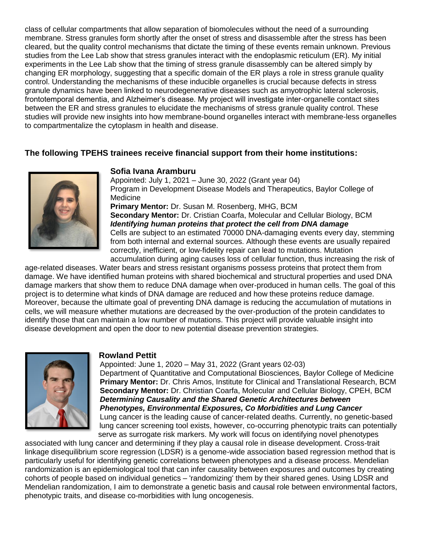class of cellular compartments that allow separation of biomolecules without the need of a surrounding membrane. Stress granules form shortly after the onset of stress and disassemble after the stress has been cleared, but the quality control mechanisms that dictate the timing of these events remain unknown. Previous studies from the Lee Lab show that stress granules interact with the endoplasmic reticulum (ER). My initial experiments in the Lee Lab show that the timing of stress granule disassembly can be altered simply by changing ER morphology, suggesting that a specific domain of the ER plays a role in stress granule quality control. Understanding the mechanisms of these inducible organelles is crucial because defects in stress granule dynamics have been linked to neurodegenerative diseases such as amyotrophic lateral sclerosis, frontotemporal dementia, and Alzheimer's disease. My project will investigate inter-organelle contact sites between the ER and stress granules to elucidate the mechanisms of stress granule quality control. These studies will provide new insights into how membrane-bound organelles interact with membrane-less organelles to compartmentalize the cytoplasm in health and disease.

### **The following TPEHS trainees receive financial support from their home institutions:**



#### **Sofia Ivana Aramburu**

Appointed: July 1, 2021 – June 30, 2022 (Grant year 04) Program in Development Disease Models and Therapeutics, Baylor College of Medicine **Primary Mentor:** Dr. Susan M. Rosenberg, MHG, BCM **Secondary Mentor:** Dr. Cristian Coarfa, Molecular and Cellular Biology, BCM *Identifying human proteins that protect the cell from DNA damage* Cells are subject to an estimated 70000 DNA-damaging events every day, stemming from both internal and external sources. Although these events are usually repaired correctly, inefficient, or low-fidelity repair can lead to mutations. Mutation accumulation during aging causes loss of cellular function, thus increasing the risk of

age-related diseases. Water bears and stress resistant organisms possess proteins that protect them from damage. We have identified human proteins with shared biochemical and structural properties and used DNA damage markers that show them to reduce DNA damage when over-produced in human cells. The goal of this project is to determine what kinds of DNA damage are reduced and how these proteins reduce damage. Moreover, because the ultimate goal of preventing DNA damage is reducing the accumulation of mutations in cells, we will measure whether mutations are decreased by the over-production of the protein candidates to identify those that can maintain a low number of mutations. This project will provide valuable insight into disease development and open the door to new potential disease prevention strategies.



#### **Rowland Pettit**

Appointed: June 1, 2020 – May 31, 2022 (Grant years 02-03) Department of Quantitative and Computational Biosciences, Baylor College of Medicine **Primary Mentor:** Dr. Chris Amos, Institute for Clinical and Translational Research, BCM **Secondary Mentor:** Dr. Christian Coarfa, Molecular and Cellular Biology, CPEH, BCM *Determining Causality and the Shared Genetic Architectures between Phenotypes, Environmental Exposures, Co Morbidities and Lung Cancer* Lung cancer is the leading cause of cancer-related deaths. Currently, no genetic-based lung cancer screening tool exists, however, co-occurring phenotypic traits can potentially serve as surrogate risk markers. My work will focus on identifying novel phenotypes

associated with lung cancer and determining if they play a causal role in disease development. Cross-trait linkage disequilibrium score regression (LDSR) is a genome-wide association based regression method that is particularly useful for identifying genetic correlations between phenotypes and a disease process. Mendelian randomization is an epidemiological tool that can infer causality between exposures and outcomes by creating cohorts of people based on individual genetics – 'randomizing' them by their shared genes. Using LDSR and Mendelian randomization, I aim to demonstrate a genetic basis and causal role between environmental factors, phenotypic traits, and disease co-morbidities with lung oncogenesis.